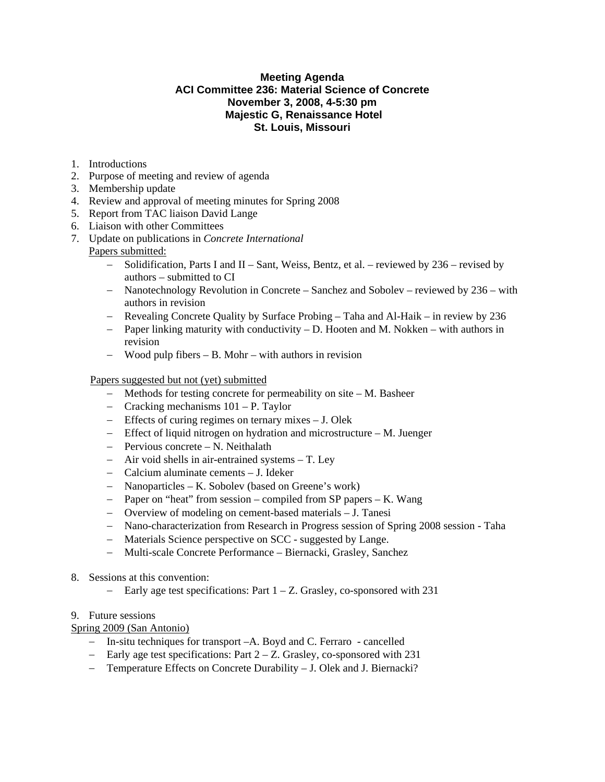## **Meeting Agenda ACI Committee 236: Material Science of Concrete November 3, 2008, 4-5:30 pm Majestic G, Renaissance Hotel St. Louis, Missouri**

- 1. Introductions
- 2. Purpose of meeting and review of agenda
- 3. Membership update
- 4. Review and approval of meeting minutes for Spring 2008
- 5. Report from TAC liaison David Lange
- 6. Liaison with other Committees
- 7. Update on publications in *Concrete International* Papers submitted:
	- − Solidification, Parts I and II Sant, Weiss, Bentz, et al. reviewed by 236 revised by authors – submitted to CI
	- − Nanotechnology Revolution in Concrete Sanchez and Sobolev reviewed by 236 with authors in revision
	- − Revealing Concrete Quality by Surface Probing Taha and Al-Haik in review by 236
	- − Paper linking maturity with conductivity D. Hooten and M. Nokken with authors in revision
	- − Wood pulp fibers B. Mohr with authors in revision

## Papers suggested but not (yet) submitted

- − Methods for testing concrete for permeability on site M. Basheer
- − Cracking mechanisms 101 P. Taylor
- − Effects of curing regimes on ternary mixes J. Olek
- − Effect of liquid nitrogen on hydration and microstructure M. Juenger
- − Pervious concrete N. Neithalath
- − Air void shells in air-entrained systems T. Ley
- − Calcium aluminate cements J. Ideker
- − Nanoparticles K. Sobolev (based on Greene's work)
- − Paper on "heat" from session compiled from SP papers K. Wang
- − Overview of modeling on cement-based materials J. Tanesi
- − Nano-characterization from Research in Progress session of Spring 2008 session Taha
- − Materials Science perspective on SCC suggested by Lange.
- − Multi-scale Concrete Performance Biernacki, Grasley, Sanchez
- 8. Sessions at this convention:
	- − Early age test specifications: Part 1 Z. Grasley, co-sponsored with 231

## 9. Future sessions

## Spring 2009 (San Antonio)

- − In-situ techniques for transport –A. Boyd and C. Ferraro cancelled
- − Early age test specifications: Part 2 Z. Grasley, co-sponsored with 231
- − Temperature Effects on Concrete Durability J. Olek and J. Biernacki?